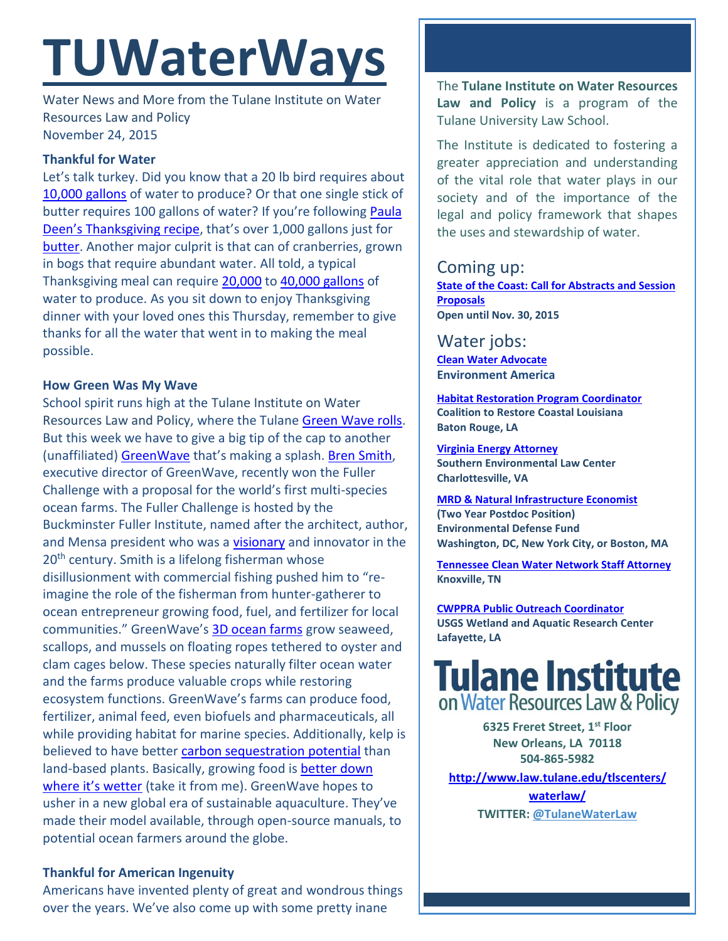# **TUWaterWays**

Water News and More from the Tulane Institute on Water Resources Law and Policy November 24, 2015

# **Thankful for Water**

Let's talk turkey. Did you know that a 20 lb bird requires about [10,000 gallons](http://myplumberca.com/water-impact-thanksgiving-dinner-dial-back/) of water to produce? Or that one single stick of butter requires 100 gallons of water? If you're following [Paula](http://www.huffingtonpost.com/2013/11/25/paula-deen-thanksgiving_n_4326093.html)  Deen's [Thanksgiving recipe,](http://www.huffingtonpost.com/2013/11/25/paula-deen-thanksgiving_n_4326093.html) that's over 1,000 gallons just for [butter.](https://www.google.com/url?sa=t&rct=j&q=&esrc=s&source=web&cd=1&cad=rja&uact=8&ved=0ahUKEwi1o7_k8qbJAhWBOiYKHaNeDRkQtwIIHjAA&url=http%3A%2F%2Fwww.nbc.com%2Fsaturday-night-live%2Fvideo%2Fweekend-update-paula-deen%2Fn13453&usg=AFQjCNEm7Oxk_-VdyyB6QvKHlBpSpoOdmg&sig2=jt6BMY7eJnO7NxUhlD7w4g) Another major culprit is that can of cranberries, grown in bogs that require abundant water. All told, a typical Thanksgiving meal can require [20,000](http://www.prnewswire.com/news-releases/thanksgiving-dinner-will-require-20000-gallons-of-water-before-it-even-reaches-the-table-77268692.html) to [40,000 gallons](http://harvestpublicmedia.org/blog/883/be-thankful-water-thanksgiving/5#.VlMn69KrTIU) of water to produce. As you sit down to enjoy Thanksgiving dinner with your loved ones this Thursday, remember to give thanks for all the water that went in to making the meal possible.

### **How Green Was My Wave**

School spirit runs high at the Tulane Institute on Water Resources Law and Policy, where the Tulane [Green Wave rolls.](http://collegevault.com/wp-content/uploads/2014/10/Tulane_1.png) But this week we have to give a big tip of the cap to another (unaffiliated) [GreenWave](http://greenwave.org/) that's making a splash. [Bren Smith,](http://www.futureoffish.org/profile/bren-smith) executive director of GreenWave, recently won the Fuller Challenge with a proposal for the world's first multi-species ocean farms. The Fuller Challenge is hosted by the Buckminster Fuller Institute, named after the architect, author, and Mensa president who was a [visionary](https://bfi.org/about-fuller) and innovator in the 20<sup>th</sup> century. Smith is a lifelong fisherman whose disillusionment with commercial fishing pushed him to "reimagine the role of the fisherman from hunter-gatherer to ocean entrepreneur growing food, fuel, and fertilizer for local communities." GreenWave's [3D ocean farms](http://greenwave.org/3d-ocean-farming/) grow seaweed, scallops, and mussels on floating ropes tethered to oyster and clam cages below. These species naturally filter ocean water and the farms produce valuable crops while restoring ecosystem functions. GreenWave's farms can produce food, fertilizer, animal feed, even biofuels and pharmaceuticals, all while providing habitat for marine species. Additionally, kelp is believed to have better [carbon sequestration potential](http://phys.org/news/2015-05-seaweed-carbon-capturing-potential.html) than land-based plants. Basically, growing food is **better down** [where it's wetter](https://www.youtube.com/watch?v=NPQVrjnC1jo) (take it from me). GreenWave hopes to usher in a new global era of sustainable aquaculture. They've made their model available, through open-source manuals, to potential ocean farmers around the globe.

# **Thankful for American Ingenuity**

Americans have invented plenty of great and wondrous things over the years. We've also come up with some pretty inane

The **Tulane Institute on Water Resources Law and Policy** is a program of the Tulane University Law School.

The Institute is dedicated to fostering a greater appreciation and understanding of the vital role that water plays in our society and of the importance of the legal and policy framework that shapes the uses and stewardship of water.

# Coming up:

**[State](https://www.google.com/maps/place/Belle+Chasse+Auditorium/@29.853709,-89.9861428,15z/data=!4m2!3m1!1s0x0:0x23d3a90cbaa61491) of the Coast: Call for Abstracts and Session Proposals Open until Nov. 30, 2015**

Water jobs: **[Clean Water Advocate](http://jobs.environmentamerica.org/clean-water-advocate.html) Environment America** 

**[Habitat Restoration Program Coordinator](http://crcl.org/about-us/employment-opportunities-menu.html) Coalition to Restore Coastal Louisiana Baton Rouge, LA**

**[Virginia Energy Attorney](http://50.87.248.195/~vcnvaorg/?p=346) Southern Environmental Law Center Charlottesville, VA**

**[MRD & Natural Infrastructure Economist](https://www.edf.org/jobs/mississippi-river-delta-and-natural-infrastructure-economist-2-year-post-doctoral-position) (Two Year Postdoc Position) Environmental Defense Fund Washington, DC, New York City, or Boston, MA**

**[Tennessee Clean Water Network Staff Attorney](http://www.tcwn.org/job-opening-staff-attorney/) Knoxville, TN**

**[CWPPRA Public Outreach Coordinator](https://lacoast.gov/ocmc/MailContent.aspx?ID=1959) USGS Wetland and Aquatic Research Center Lafayette, LA**



**6325 Freret Street, 1st Floor New Orleans, LA 70118 504-865-5982** 

**[http://www.law.tulane.edu/tlscenters/](http://www.law.tulane.edu/tlscenters/waterlaw/)**

**[waterlaw/](http://www.law.tulane.edu/tlscenters/waterlaw/) TWITTER: [@TulaneWaterLaw](http://www.twitter.com/TulaneWaterLaw)**